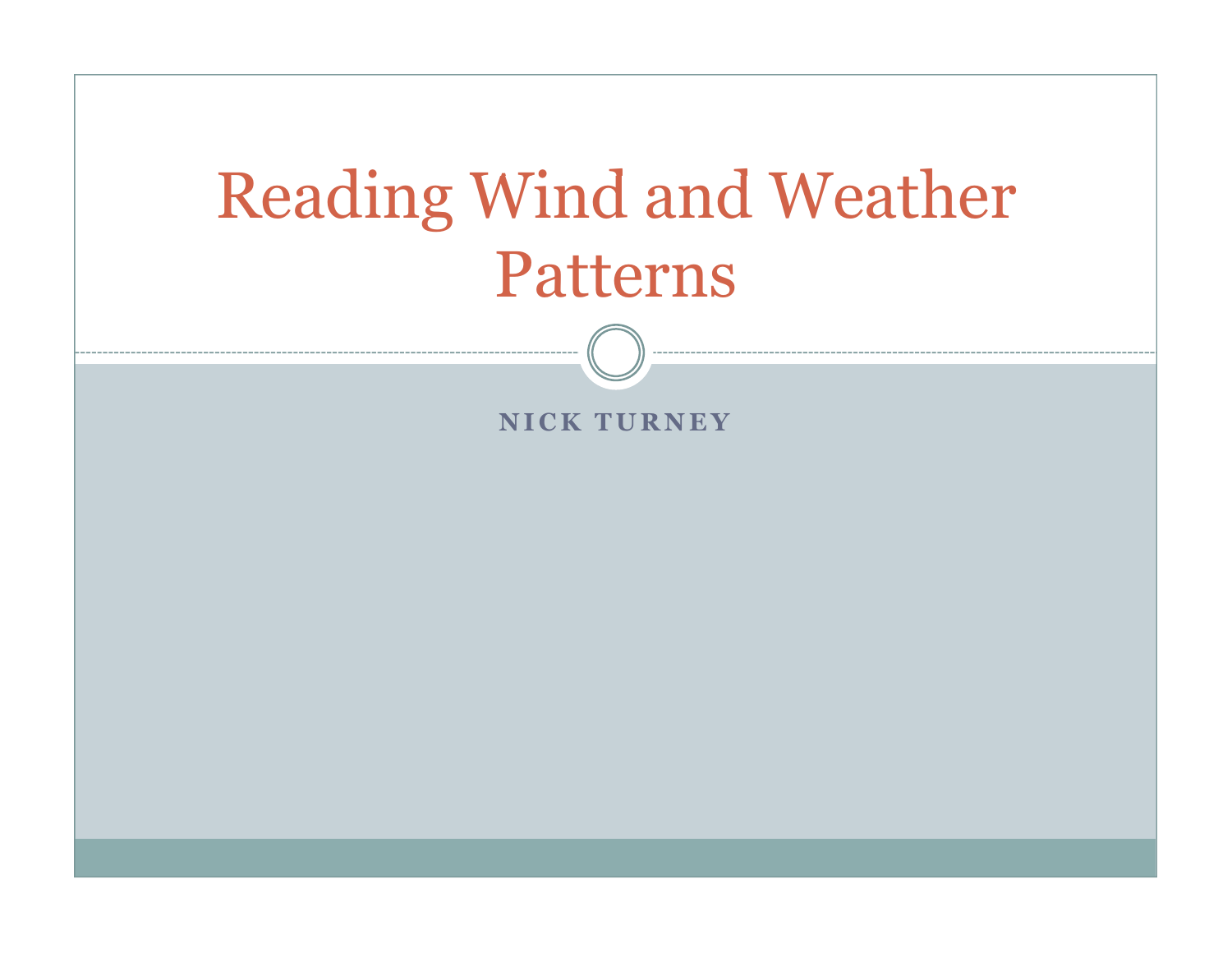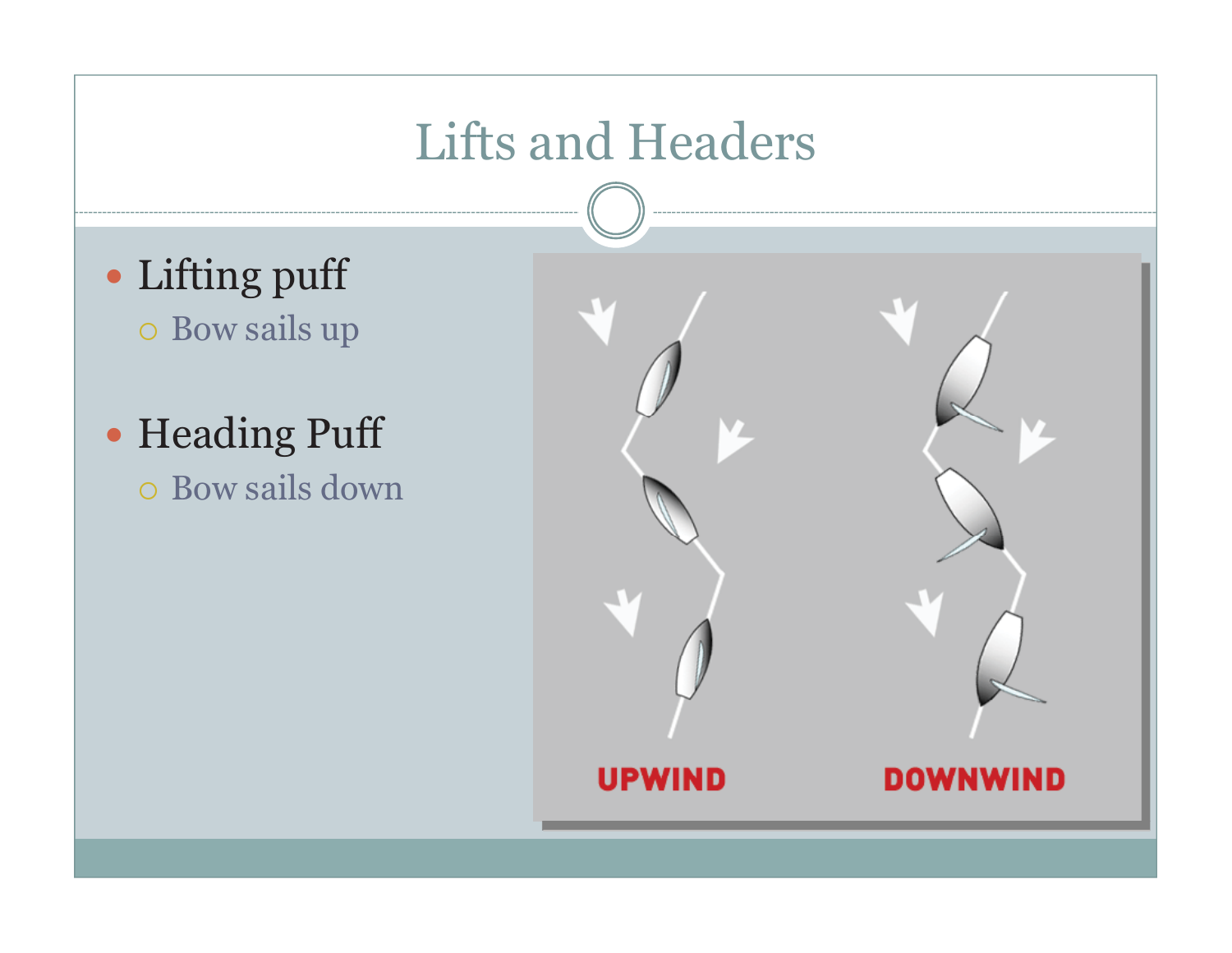## Lifts and Headers

- Lifting puff o Bow sails up
- Heading Puff - Bow sails down

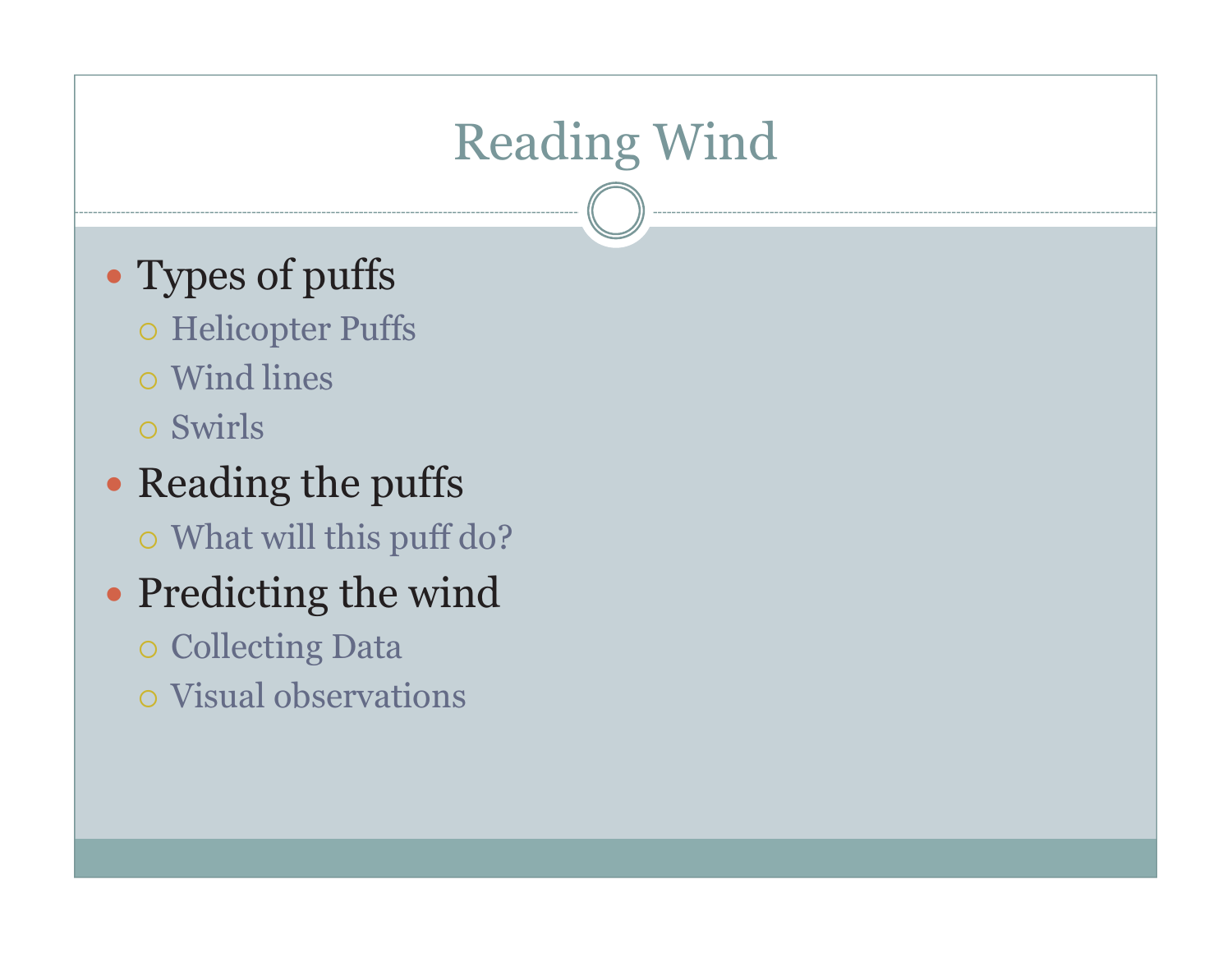# Reading Wind

- Types of puffs
	- o Helicopter Puffs
	- Wind lines
	- o Swirls
- Reading the puffs - What will this puff do?
- Predicting the wind
	- o Collecting Data
	- Visual observations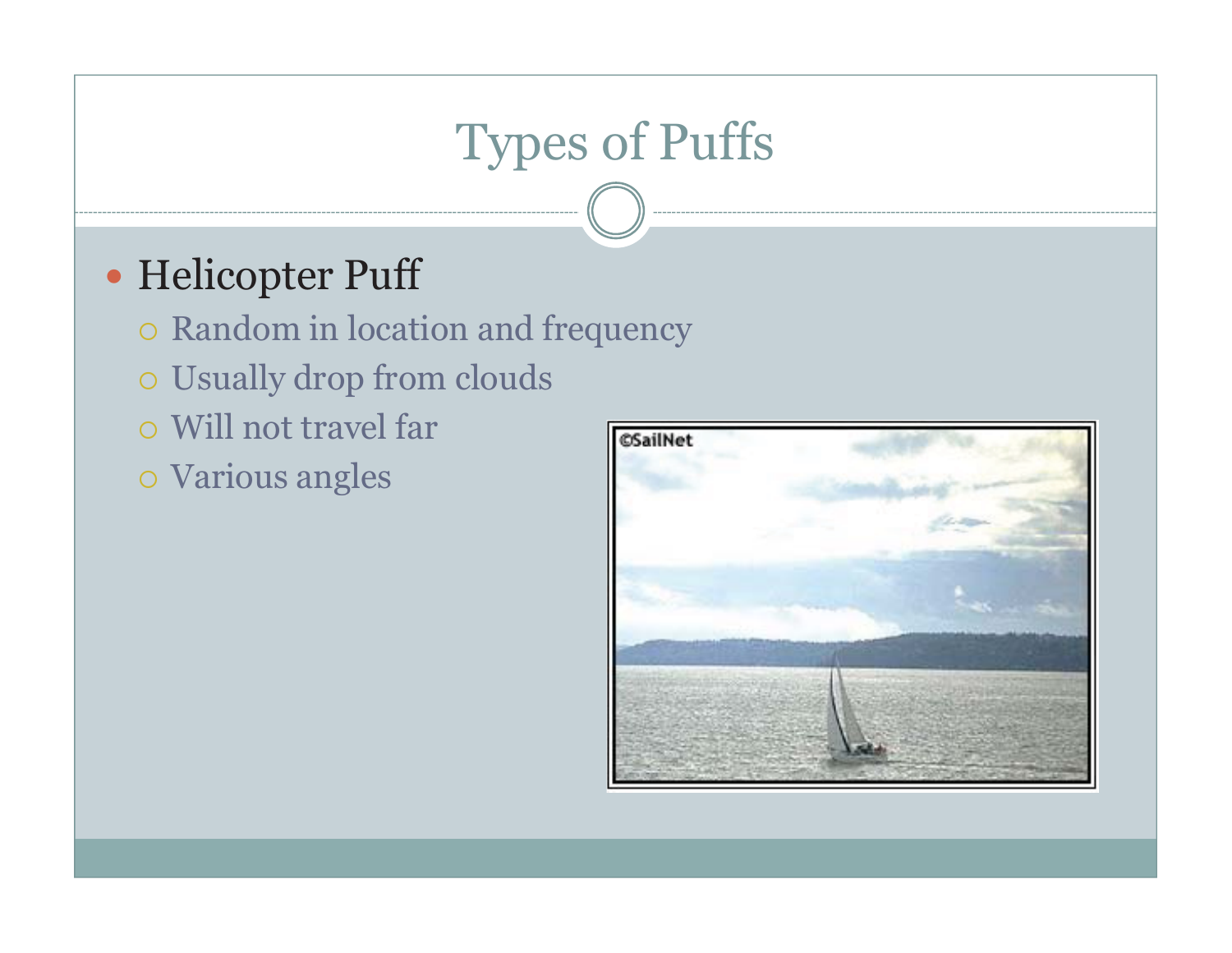# Types of Puffs

#### - Helicopter Puff

- Random in location and frequency
- Usually drop from clouds
- o Will not travel far
- Various angles

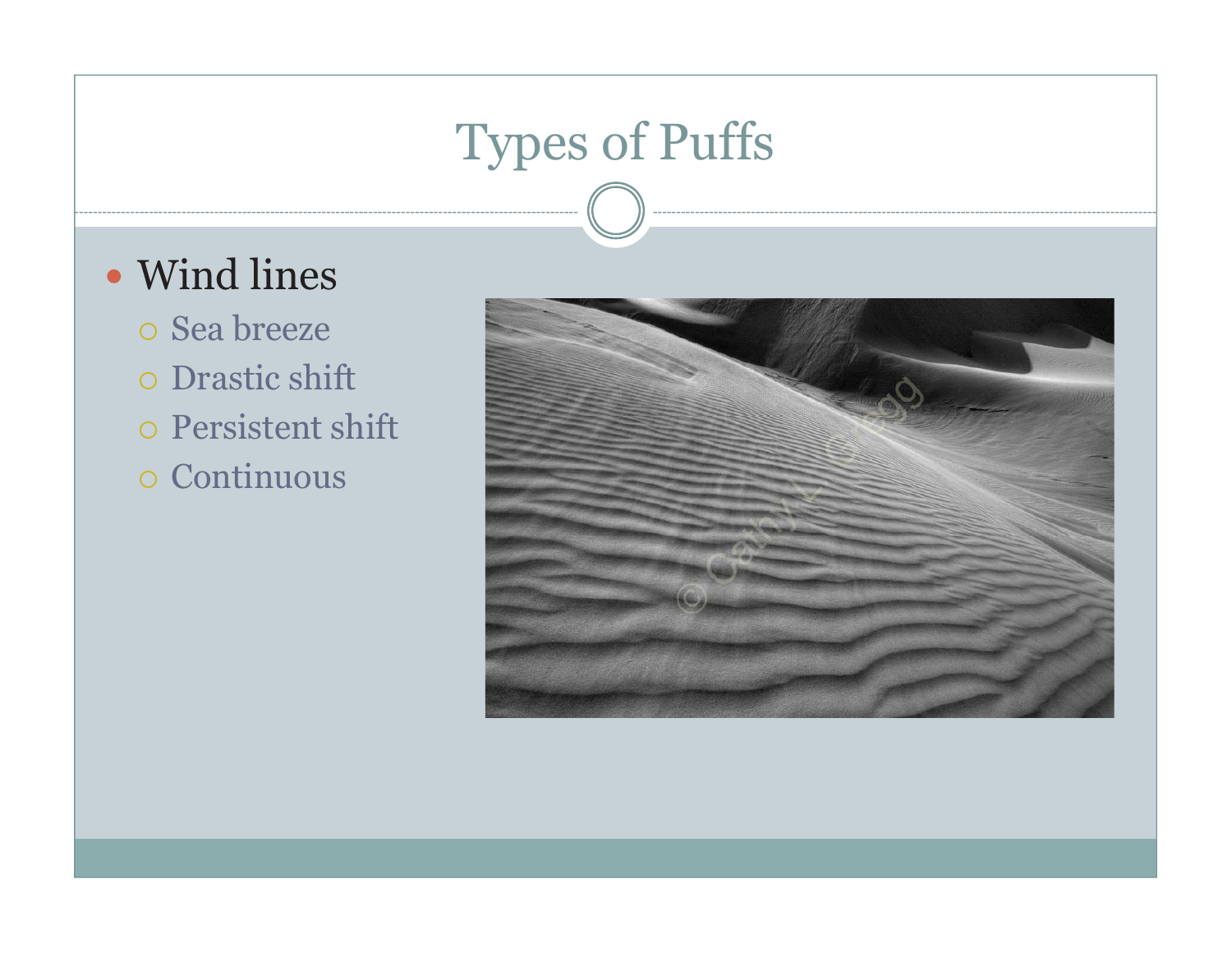# Types of Puffs

#### - Wind lines

- Sea breeze

- Drastic shift
- o Persistent shift

- Continuous

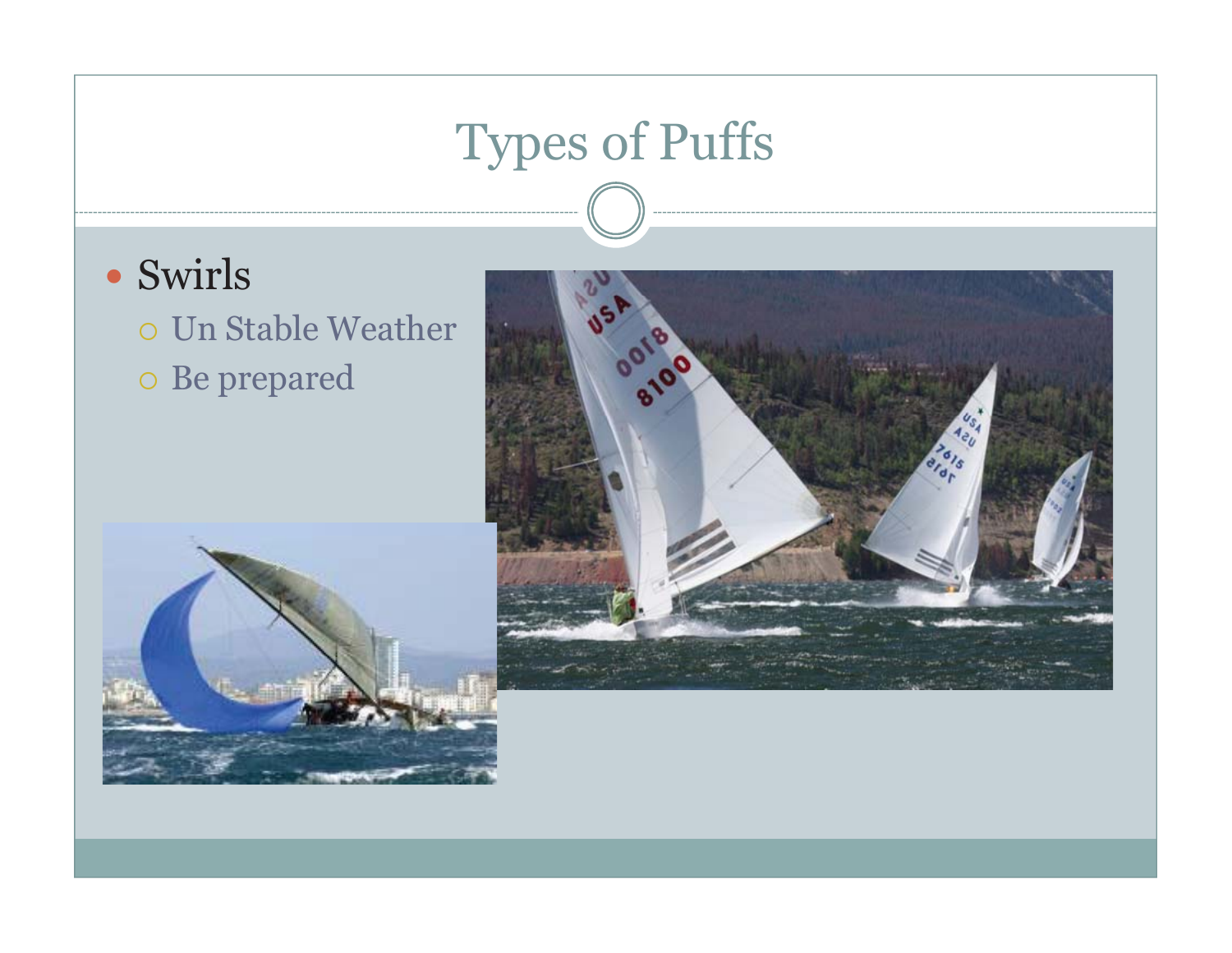# Types of Puffs

- Swirls
	- Un Stable Weather - Be prepared

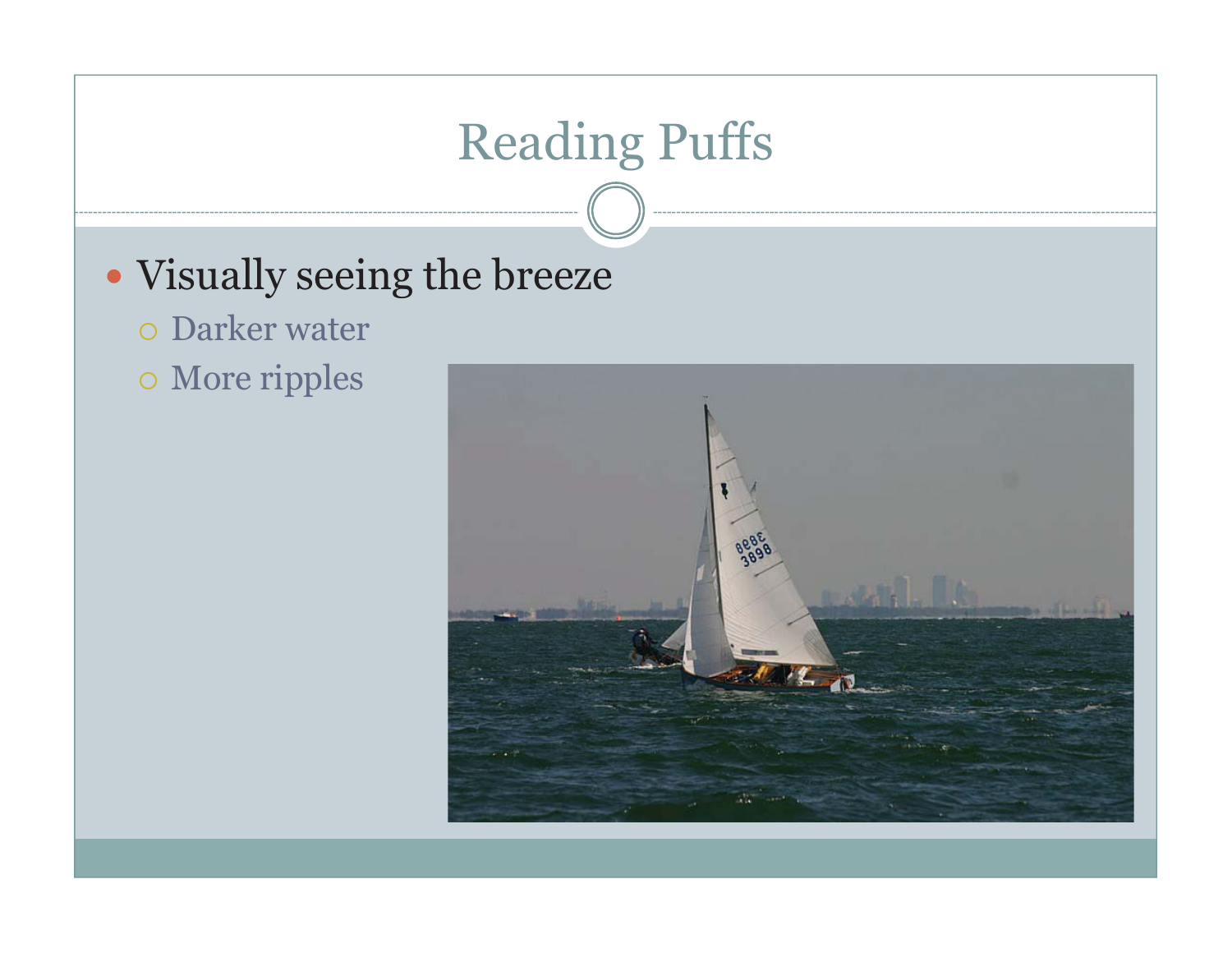# Reading Puffs

#### • Visually seeing the breeze

- Darker water
- More ripples

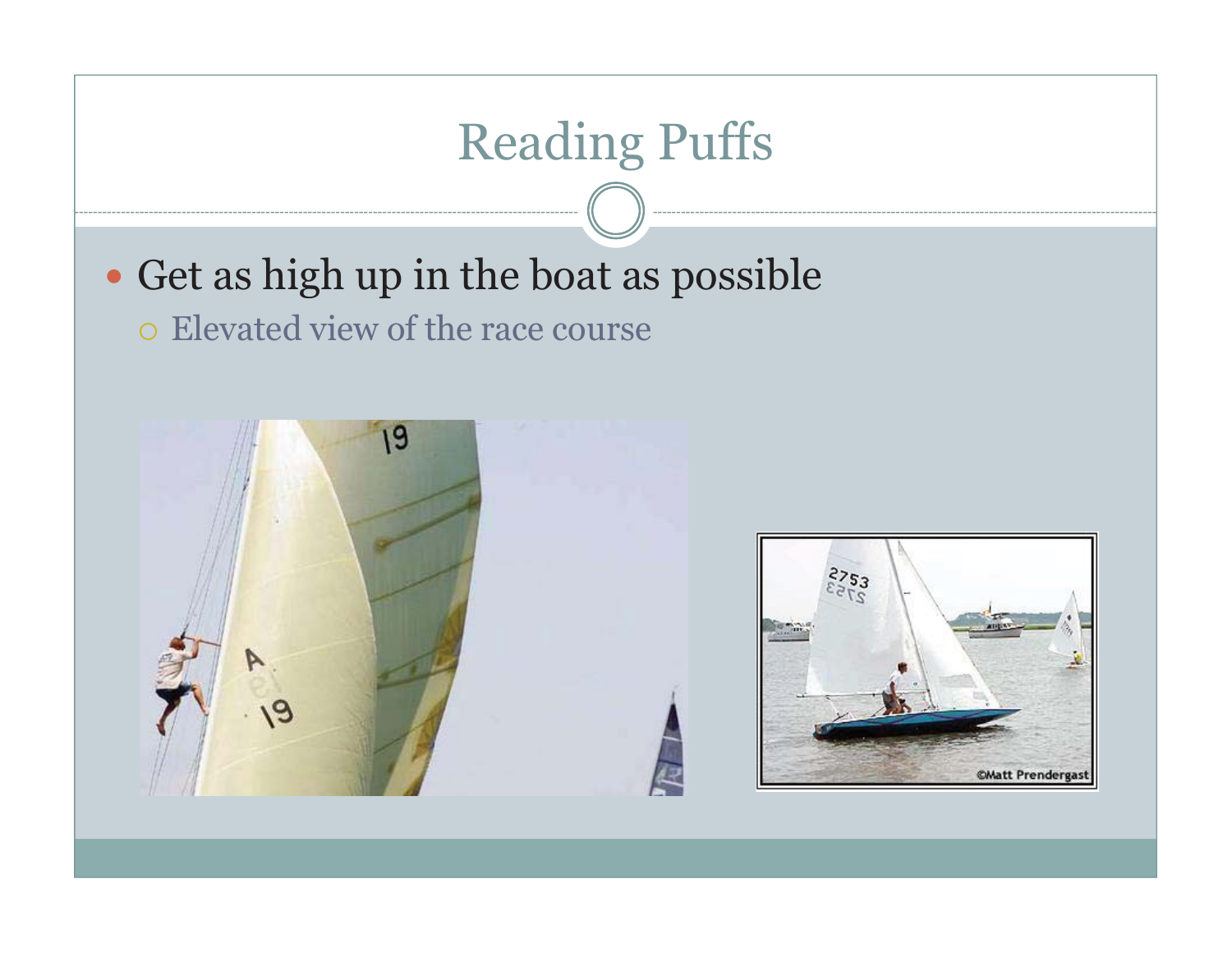# Reading Puffs • Get as high up in the boat as possible - Elevated view of the race course19 **©Matt Prenderga:**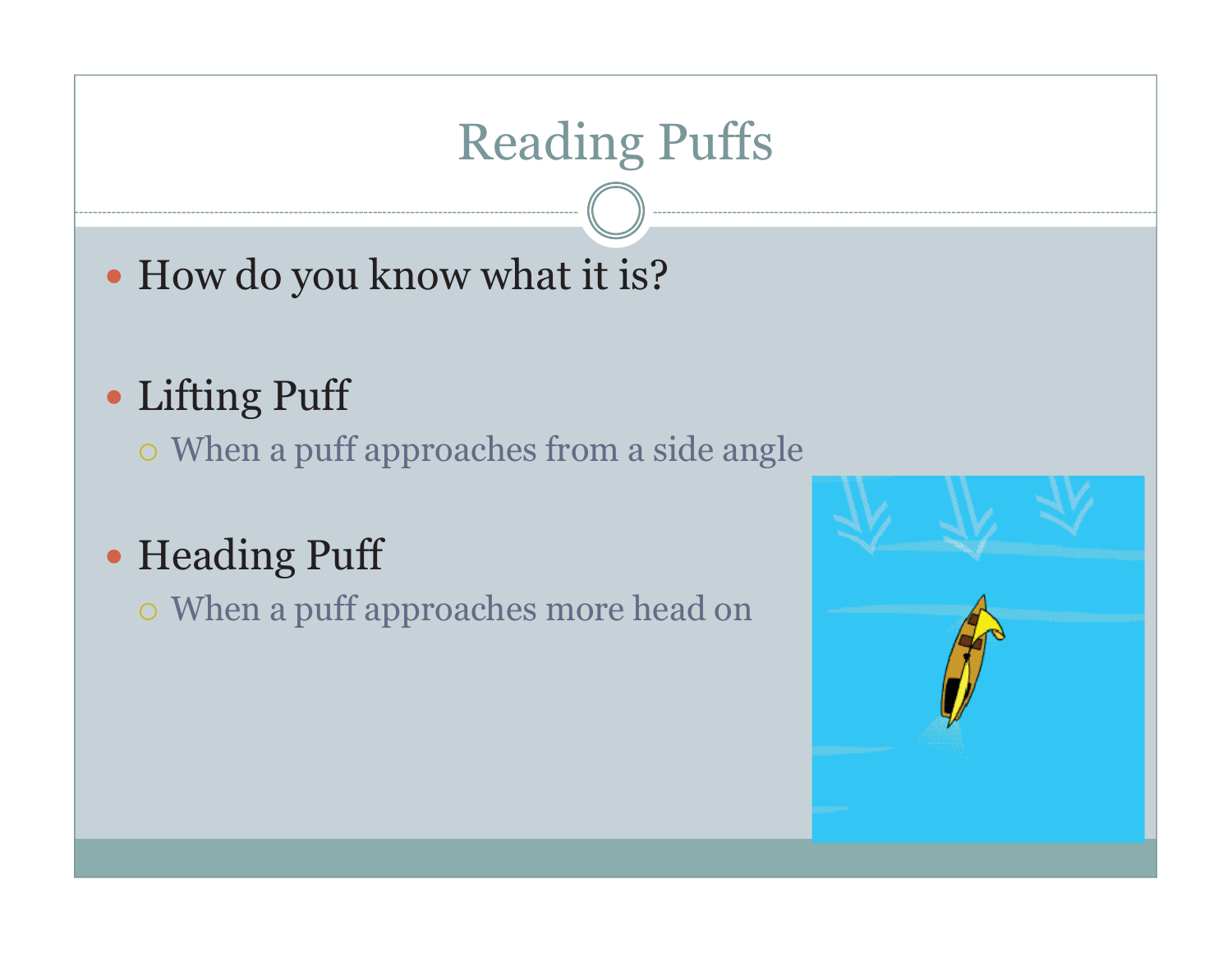# Reading Puffs

• How do you know what it is?

#### - Lifting Puff

- When a puff approaches from a side angle

- Heading Puff

- When a puff approaches more head on

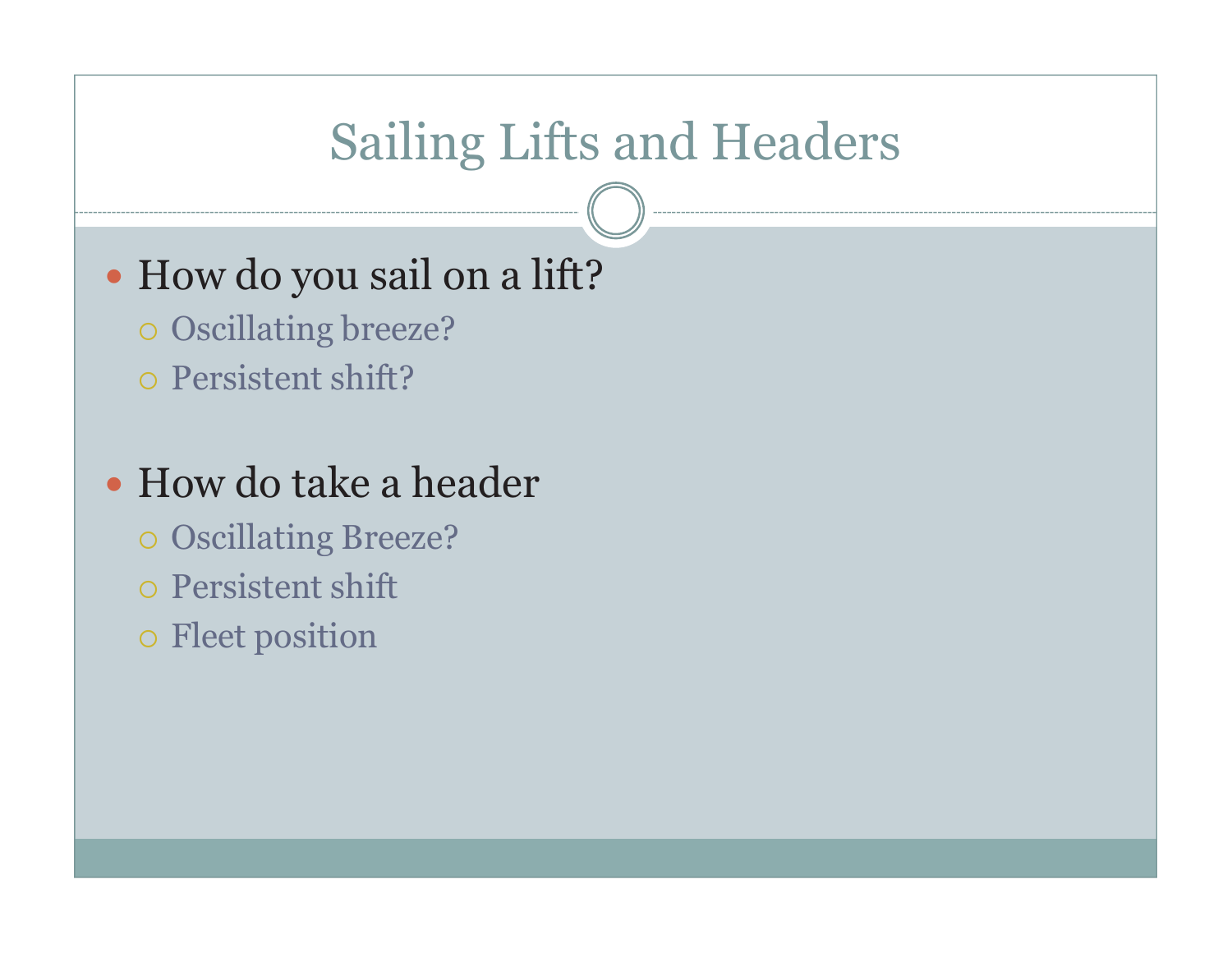## Sailing Lifts and Headers

#### - How do you sail on a lift?

- Oscillating breeze?
- Persistent shift?

#### • How do take a header

- Oscillating Breeze?
- Persistent shift
- o Fleet position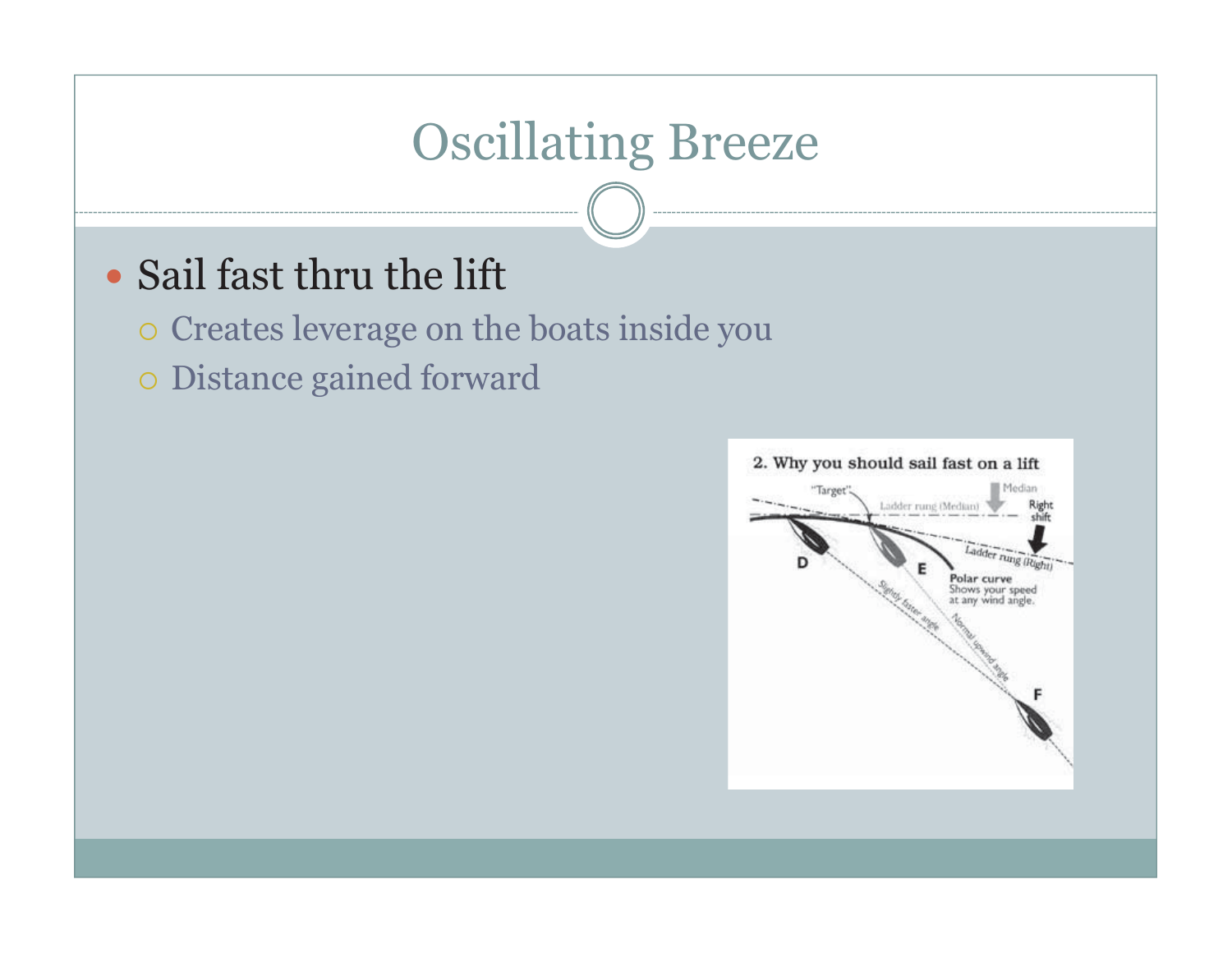## Oscillating Breeze

#### • Sail fast thru the lift

- Creates leverage on the boats inside you

- Distance gained forward

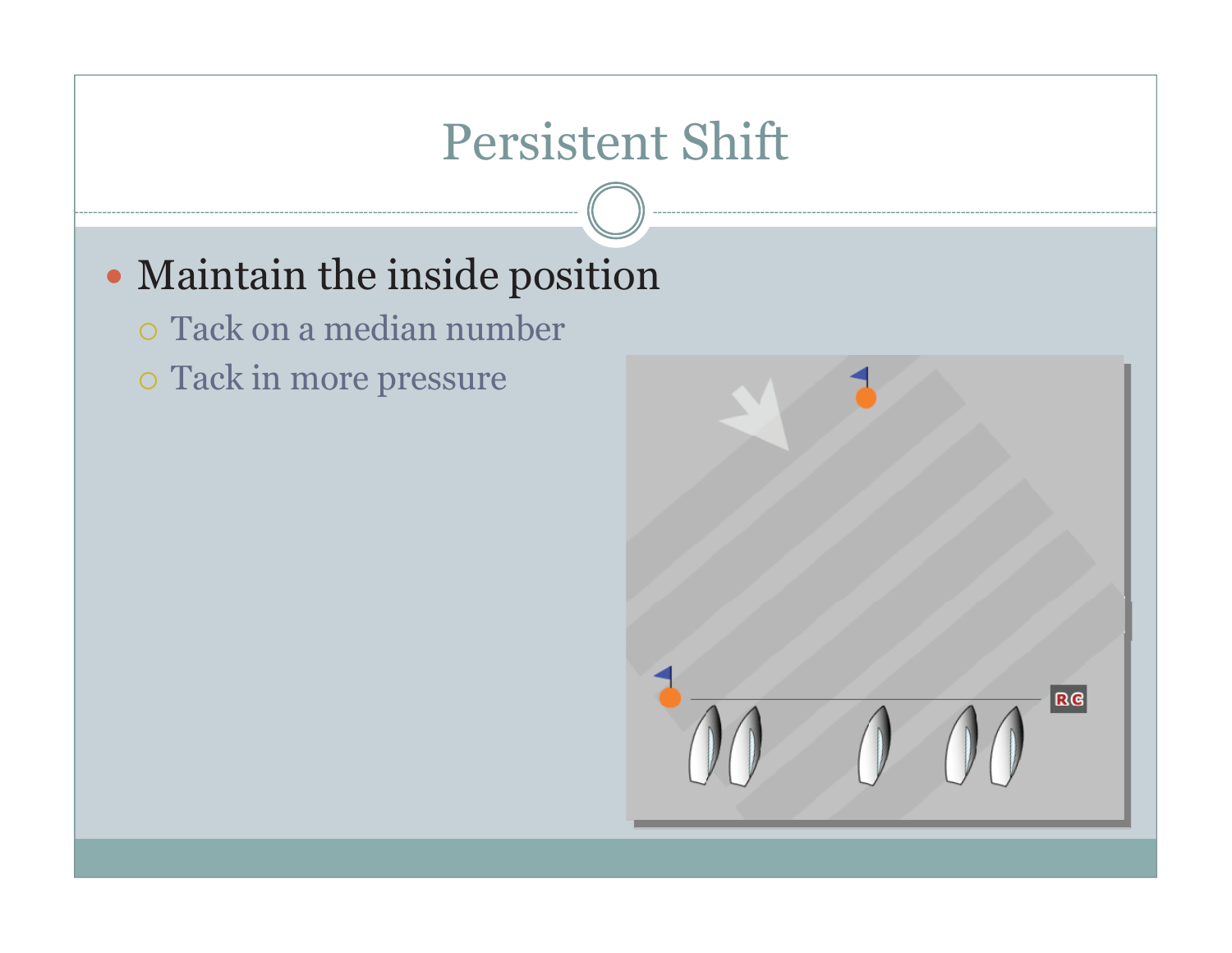## Persistent Shift

#### - Maintain the inside position

- Tack on a median number

o Tack in more pressure

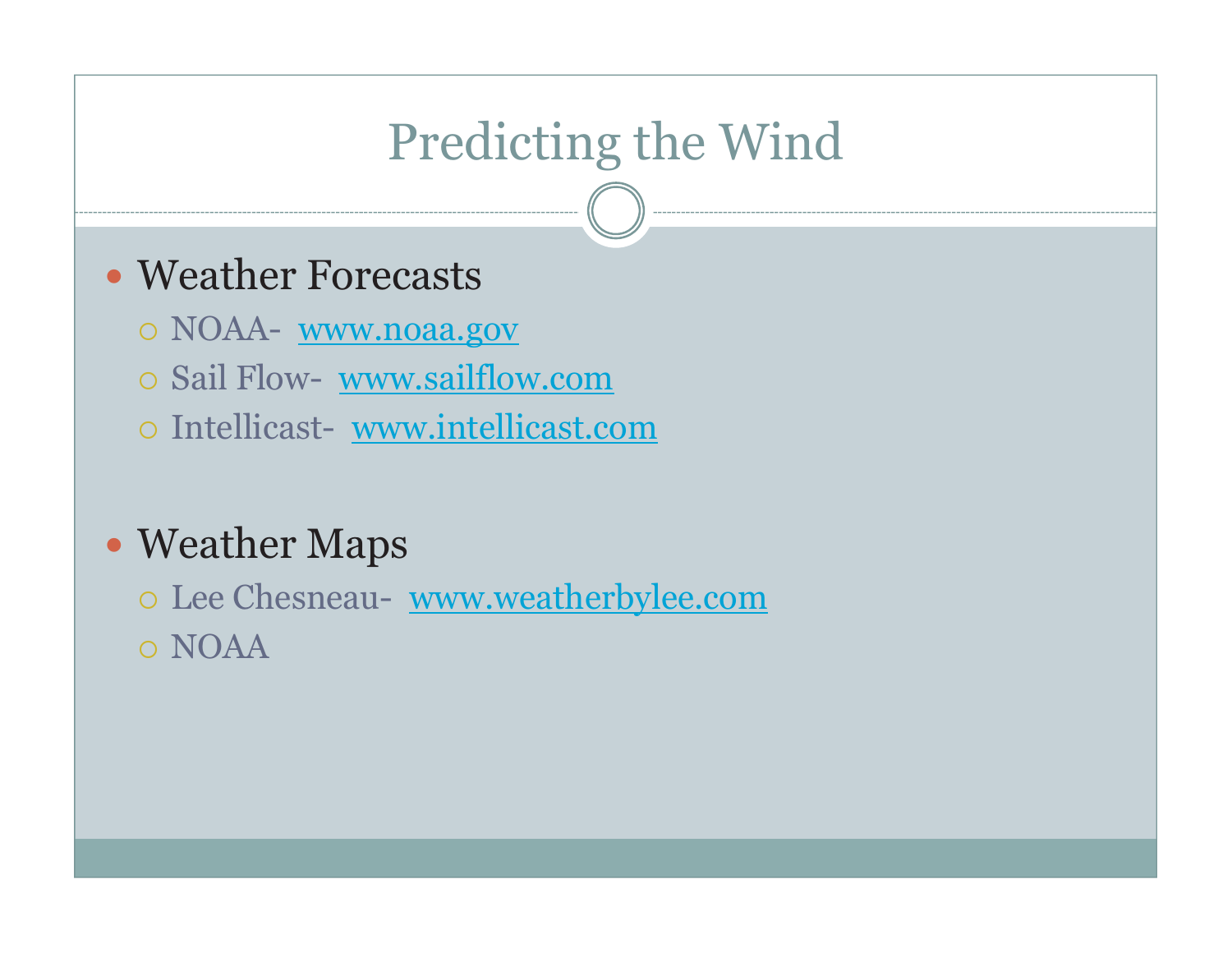# Predicting the Wind

#### - Weather Forecasts

- o NOAA- <u>www.noaa.gov</u>
- Sail Flow- www.sailflow.com
- o Intellicast- www.intellicast.com

#### • Weather Maps

o Lee Chesneau- www.weatherbylee.com o NOAA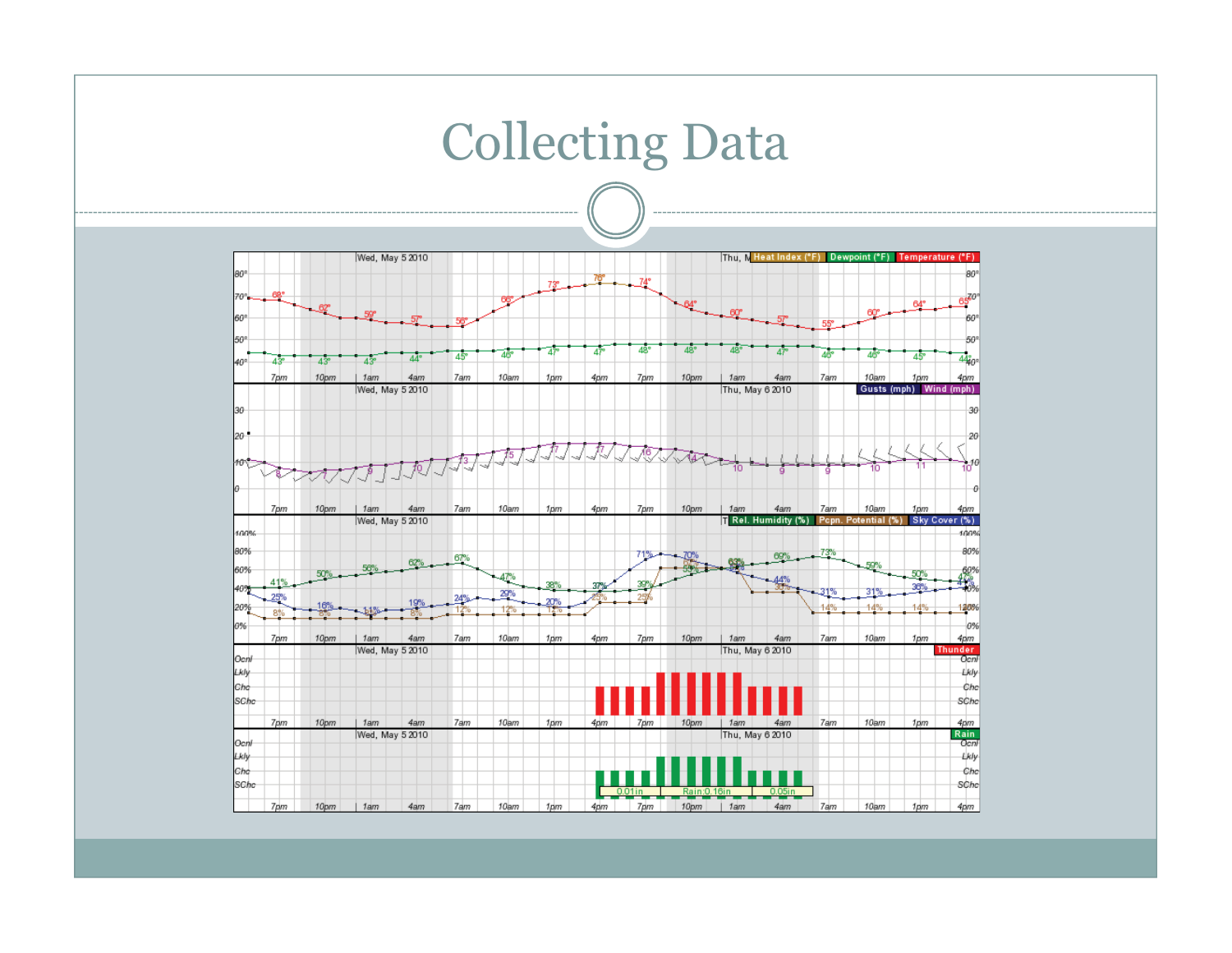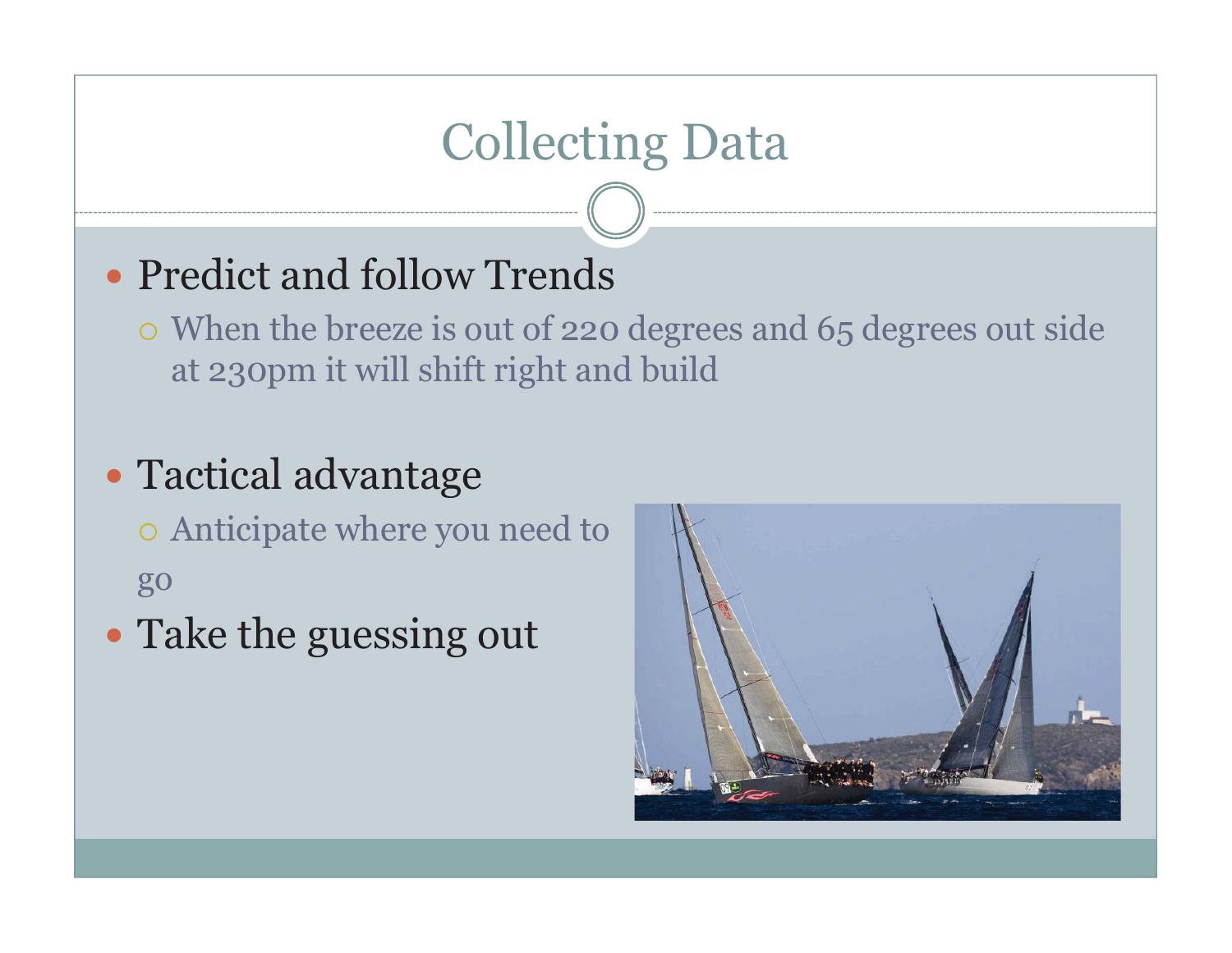## Collecting Data

#### • Predict and follow Trends

- When the breeze is out of 220 degrees and 65 degrees out side at 230pm it will shift right and build

#### - Tactical advantage

o Anticipate where you need to go

• Take the guessing out

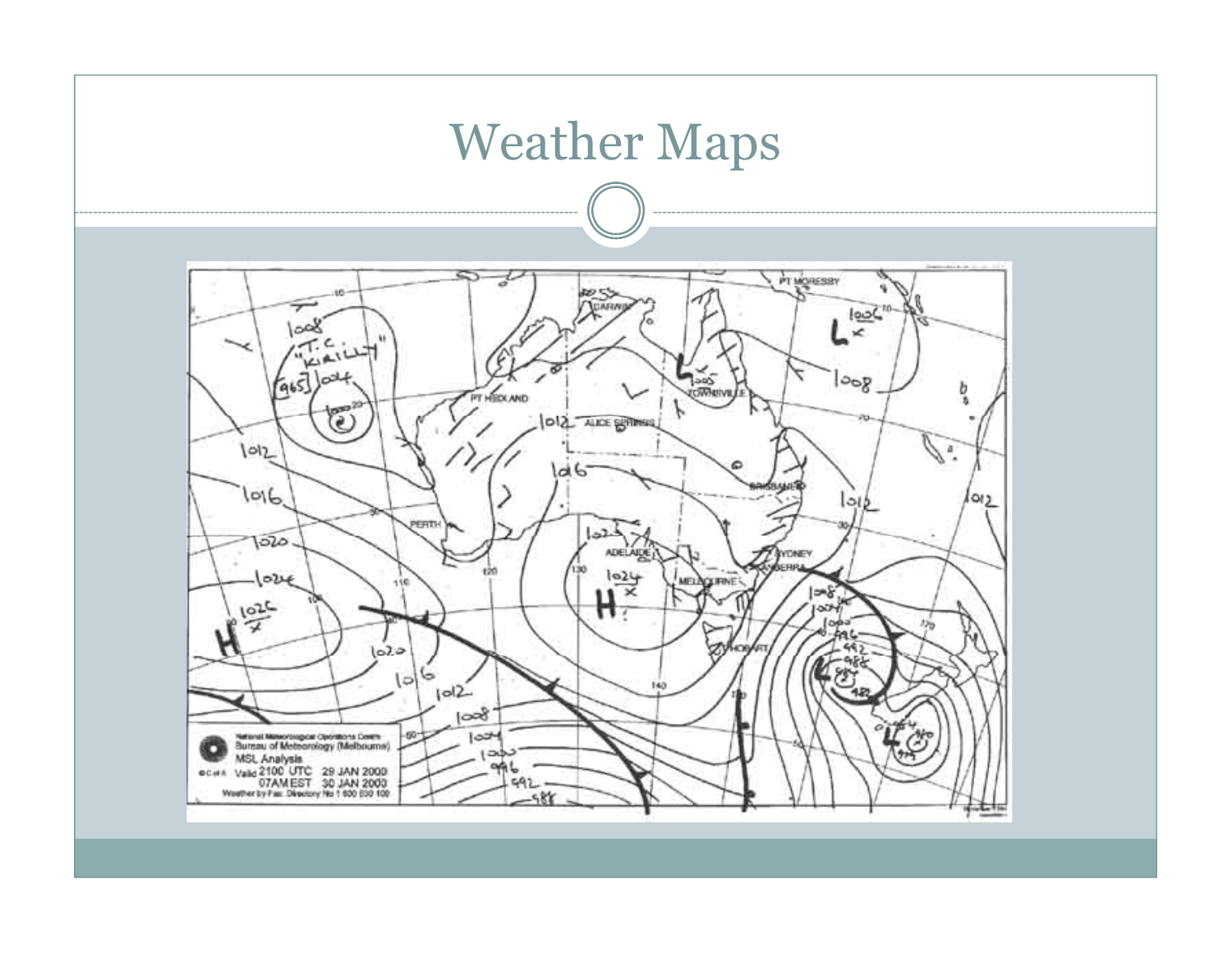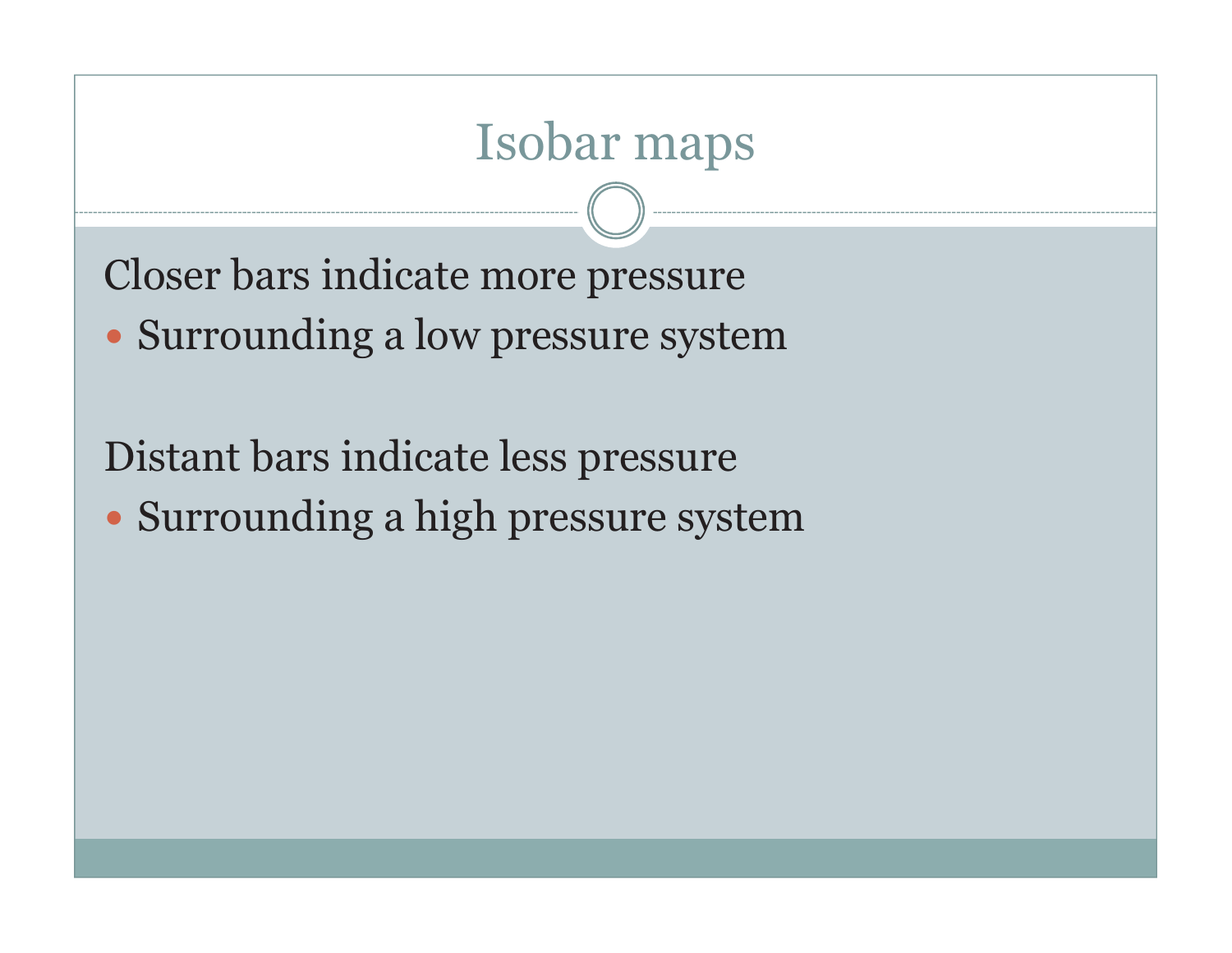## Isobar maps

Closer bars indicate more pressure

- Surrounding a low pressure system

Distant bars indicate less pressure

• Surrounding a high pressure system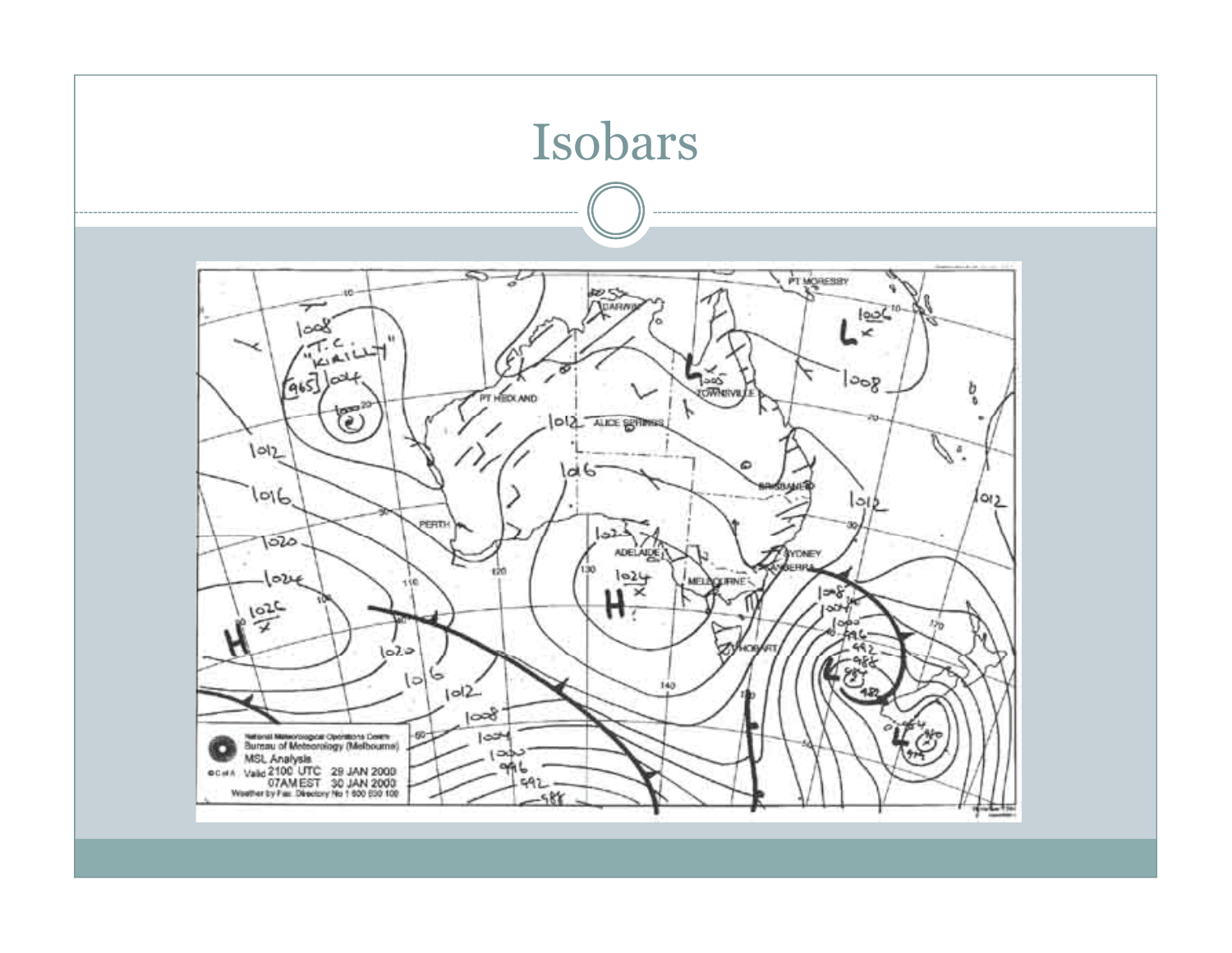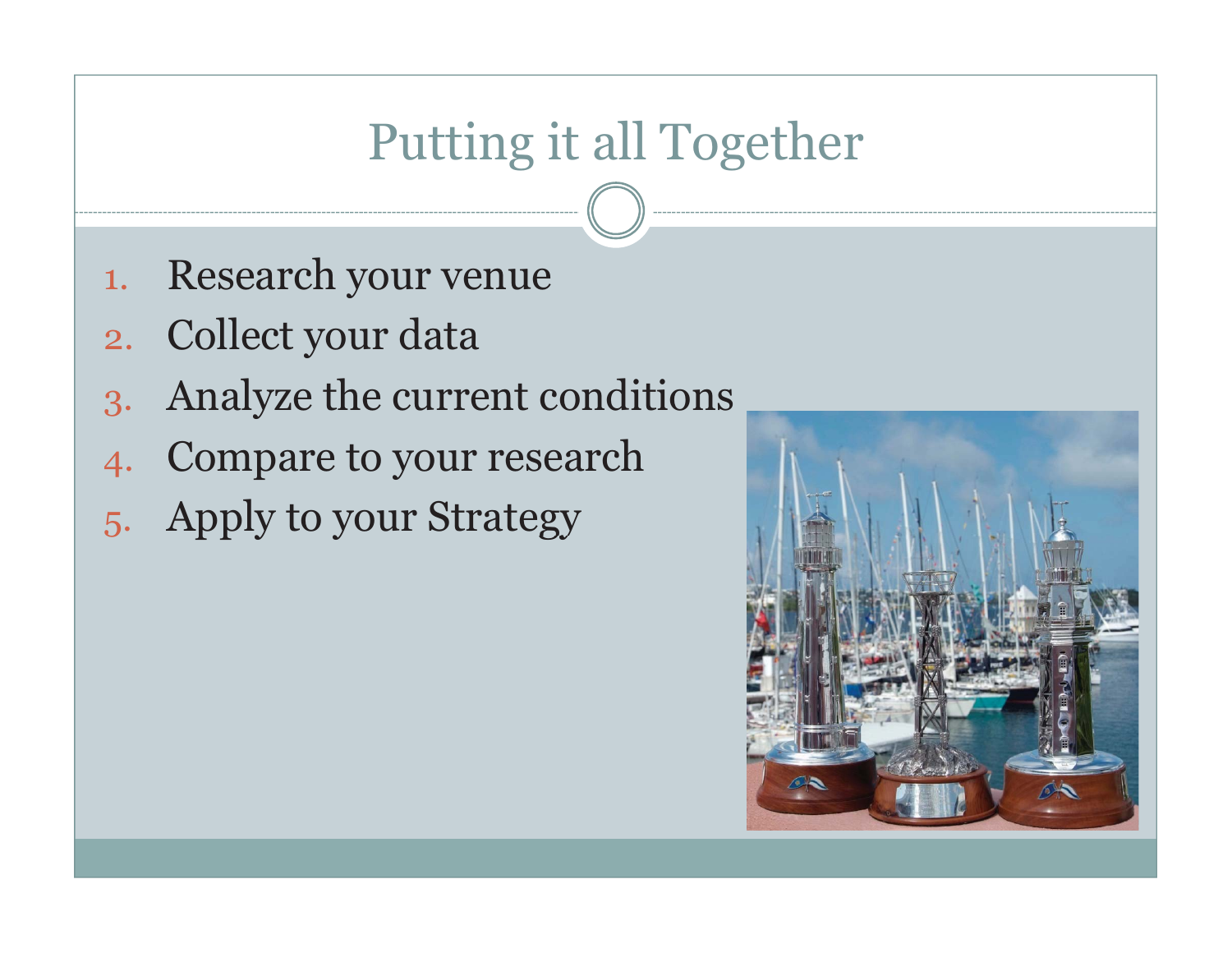# Putting it all Together

- 1.Research your venue
- 2. Collect your data
- 3. Anal yze the current conditions
- 4. Compare to your research
- 5. Apply to your Strategy